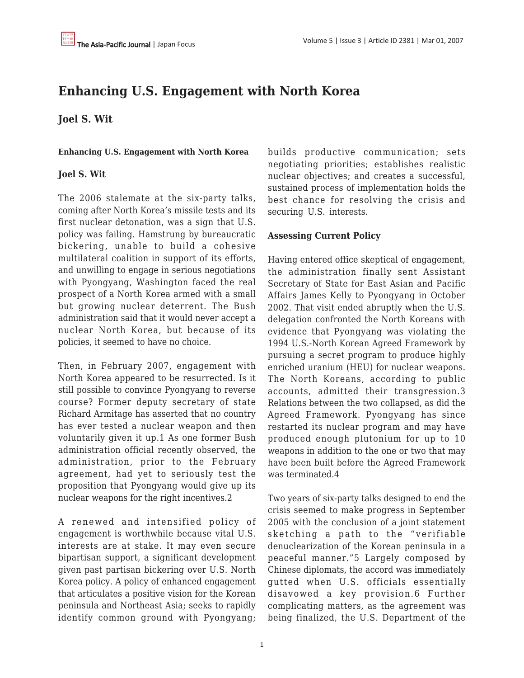# **Enhancing U.S. Engagement with North Korea**

## **Joel S. Wit**

**Enhancing U.S. Engagement with North Korea**

## **Joel S. Wit**

The 2006 stalemate at the six-party talks, coming after North Korea's missile tests and its first nuclear detonation, was a sign that U.S. policy was failing. Hamstrung by bureaucratic bickering, unable to build a cohesive multilateral coalition in support of its efforts, and unwilling to engage in serious negotiations with Pyongyang, Washington faced the real prospect of a North Korea armed with a small but growing nuclear deterrent. The Bush administration said that it would never accept a nuclear North Korea, but because of its policies, it seemed to have no choice.

Then, in February 2007, engagement with North Korea appeared to be resurrected. Is it still possible to convince Pyongyang to reverse course? Former deputy secretary of state Richard Armitage has asserted that no country has ever tested a nuclear weapon and then voluntarily given it up.1 As one former Bush administration official recently observed, the administration, prior to the February agreement, had yet to seriously test the proposition that Pyongyang would give up its nuclear weapons for the right incentives.2

A renewed and intensified policy of engagement is worthwhile because vital U.S. interests are at stake. It may even secure bipartisan support, a significant development given past partisan bickering over U.S. North Korea policy. A policy of enhanced engagement that articulates a positive vision for the Korean peninsula and Northeast Asia; seeks to rapidly identify common ground with Pyongyang; builds productive communication; sets negotiating priorities; establishes realistic nuclear objectives; and creates a successful, sustained process of implementation holds the best chance for resolving the crisis and securing U.S. interests.

## **Assessing Current Policy**

Having entered office skeptical of engagement, the administration finally sent Assistant Secretary of State for East Asian and Pacific Affairs James Kelly to Pyongyang in October 2002. That visit ended abruptly when the U.S. delegation confronted the North Koreans with evidence that Pyongyang was violating the 1994 U.S.-North Korean Agreed Framework by pursuing a secret program to produce highly enriched uranium (HEU) for nuclear weapons. The North Koreans, according to public accounts, admitted their transgression.3 Relations between the two collapsed, as did the Agreed Framework. Pyongyang has since restarted its nuclear program and may have produced enough plutonium for up to 10 weapons in addition to the one or two that may have been built before the Agreed Framework was terminated.4

Two years of six-party talks designed to end the crisis seemed to make progress in September 2005 with the conclusion of a joint statement sketching a path to the "verifiable denuclearization of the Korean peninsula in a peaceful manner."5 Largely composed by Chinese diplomats, the accord was immediately gutted when U.S. officials essentially disavowed a key provision.6 Further complicating matters, as the agreement was being finalized, the U.S. Department of the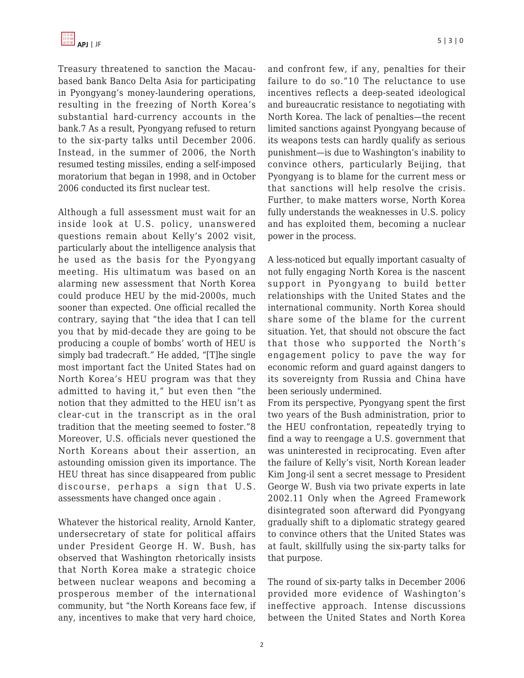Treasury threatened to sanction the Macaubased bank Banco Delta Asia for participating in Pyongyang's money-laundering operations, resulting in the freezing of North Korea's substantial hard-currency accounts in the bank.7 As a result, Pyongyang refused to return to the six-party talks until December 2006. Instead, in the summer of 2006, the North resumed testing missiles, ending a self-imposed moratorium that began in 1998, and in October 2006 conducted its first nuclear test.

Although a full assessment must wait for an inside look at U.S. policy, unanswered questions remain about Kelly's 2002 visit, particularly about the intelligence analysis that he used as the basis for the Pyongyang meeting. His ultimatum was based on an alarming new assessment that North Korea could produce HEU by the mid-2000s, much sooner than expected. One official recalled the contrary, saying that "the idea that I can tell you that by mid-decade they are going to be producing a couple of bombs' worth of HEU is simply bad tradecraft." He added, "[T]he single most important fact the United States had on North Korea's HEU program was that they admitted to having it," but even then "the notion that they admitted to the HEU isn't as clear-cut in the transcript as in the oral tradition that the meeting seemed to foster."8 Moreover, U.S. officials never questioned the North Koreans about their assertion, an astounding omission given its importance. The HEU threat has since disappeared from public discourse, perhaps a sign that U.S. assessments have changed once again .

Whatever the historical reality, Arnold Kanter, undersecretary of state for political affairs under President George H. W. Bush, has observed that Washington rhetorically insists that North Korea make a strategic choice between nuclear weapons and becoming a prosperous member of the international community, but "the North Koreans face few, if any, incentives to make that very hard choice, and confront few, if any, penalties for their failure to do so."10 The reluctance to use incentives reflects a deep-seated ideological and bureaucratic resistance to negotiating with North Korea. The lack of penalties—the recent limited sanctions against Pyongyang because of its weapons tests can hardly qualify as serious punishment—is due to Washington's inability to convince others, particularly Beijing, that Pyongyang is to blame for the current mess or that sanctions will help resolve the crisis. Further, to make matters worse, North Korea fully understands the weaknesses in U.S. policy and has exploited them, becoming a nuclear power in the process.

A less-noticed but equally important casualty of not fully engaging North Korea is the nascent support in Pyongyang to build better relationships with the United States and the international community. North Korea should share some of the blame for the current situation. Yet, that should not obscure the fact that those who supported the North's engagement policy to pave the way for economic reform and guard against dangers to its sovereignty from Russia and China have been seriously undermined.

From its perspective, Pyongyang spent the first two years of the Bush administration, prior to the HEU confrontation, repeatedly trying to find a way to reengage a U.S. government that was uninterested in reciprocating. Even after the failure of Kelly's visit, North Korean leader Kim Jong-il sent a secret message to President George W. Bush via two private experts in late 2002.11 Only when the Agreed Framework disintegrated soon afterward did Pyongyang gradually shift to a diplomatic strategy geared to convince others that the United States was at fault, skillfully using the six-party talks for that purpose.

The round of six-party talks in December 2006 provided more evidence of Washington's ineffective approach. Intense discussions between the United States and North Korea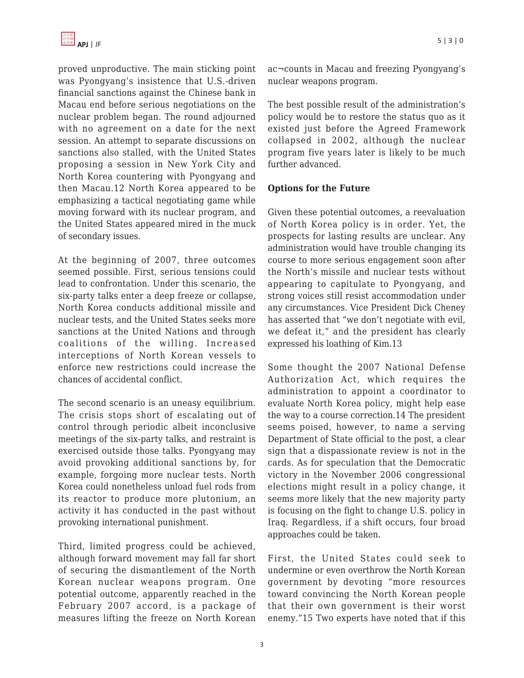proved unproductive. The main sticking point was Pyongyang's insistence that U.S.-driven financial sanctions against the Chinese bank in Macau end before serious negotiations on the nuclear problem began. The round adjourned with no agreement on a date for the next session. An attempt to separate discussions on sanctions also stalled, with the United States proposing a session in New York City and North Korea countering with Pyongyang and then Macau.12 North Korea appeared to be emphasizing a tactical negotiating game while moving forward with its nuclear program, and the United States appeared mired in the muck of secondary issues.

At the beginning of 2007, three outcomes seemed possible. First, serious tensions could lead to confrontation. Under this scenario, the six-party talks enter a deep freeze or collapse, North Korea conducts additional missile and nuclear tests, and the United States seeks more sanctions at the United Nations and through coalitions of the willing. Increased interceptions of North Korean vessels to enforce new restrictions could increase the chances of accidental conflict.

The second scenario is an uneasy equilibrium. The crisis stops short of escalating out of control through periodic albeit inconclusive meetings of the six-party talks, and restraint is exercised outside those talks. Pyongyang may avoid provoking additional sanctions by, for example, forgoing more nuclear tests. North Korea could nonetheless unload fuel rods from its reactor to produce more plutonium, an activity it has conducted in the past without provoking international punishment.

Third, limited progress could be achieved, although forward movement may fall far short of securing the dismantlement of the North Korean nuclear weapons program. One potential outcome, apparently reached in the February 2007 accord, is a package of measures lifting the freeze on North Korean ac¬counts in Macau and freezing Pyongyang's nuclear weapons program.

The best possible result of the administration's policy would be to restore the status quo as it existed just before the Agreed Framework collapsed in 2002, although the nuclear program five years later is likely to be much further advanced.

## **Options for the Future**

Given these potential outcomes, a reevaluation of North Korea policy is in order. Yet, the prospects for lasting results are unclear. Any administration would have trouble changing its course to more serious engagement soon after the North's missile and nuclear tests without appearing to capitulate to Pyongyang, and strong voices still resist accommodation under any circumstances. Vice President Dick Cheney has asserted that "we don't negotiate with evil, we defeat it," and the president has clearly expressed his loathing of Kim.13

Some thought the 2007 National Defense Authorization Act, which requires the administration to appoint a coordinator to evaluate North Korea policy, might help ease the way to a course correction.14 The president seems poised, however, to name a serving Department of State official to the post, a clear sign that a dispassionate review is not in the cards. As for speculation that the Democratic victory in the November 2006 congressional elections might result in a policy change, it seems more likely that the new majority party is focusing on the fight to change U.S. policy in Iraq. Regardless, if a shift occurs, four broad approaches could be taken.

First, the United States could seek to undermine or even overthrow the North Korean government by devoting "more resources toward convincing the North Korean people that their own government is their worst enemy."15 Two experts have noted that if this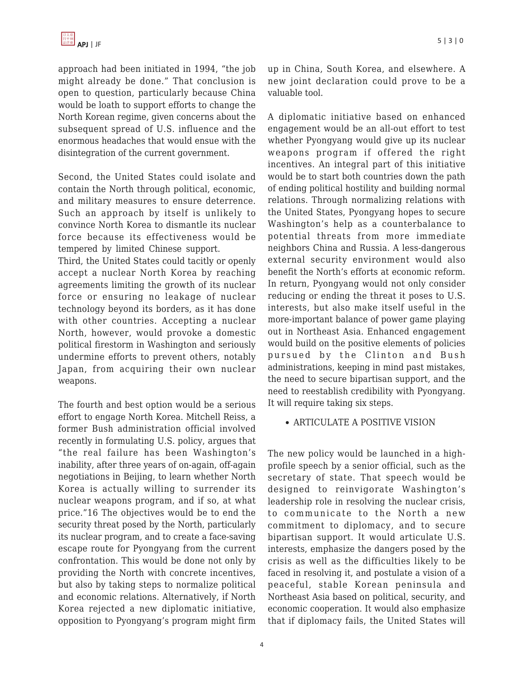approach had been initiated in 1994, "the job might already be done." That conclusion is open to question, particularly because China would be loath to support efforts to change the North Korean regime, given concerns about the subsequent spread of U.S. influence and the enormous headaches that would ensue with the disintegration of the current government.

Second, the United States could isolate and contain the North through political, economic, and military measures to ensure deterrence. Such an approach by itself is unlikely to convince North Korea to dismantle its nuclear force because its effectiveness would be tempered by limited Chinese support.

Third, the United States could tacitly or openly accept a nuclear North Korea by reaching agreements limiting the growth of its nuclear force or ensuring no leakage of nuclear technology beyond its borders, as it has done with other countries. Accepting a nuclear North, however, would provoke a domestic political firestorm in Washington and seriously undermine efforts to prevent others, notably Japan, from acquiring their own nuclear weapons.

The fourth and best option would be a serious effort to engage North Korea. Mitchell Reiss, a former Bush administration official involved recently in formulating U.S. policy, argues that "the real failure has been Washington's inability, after three years of on-again, off-again negotiations in Beijing, to learn whether North Korea is actually willing to surrender its nuclear weapons program, and if so, at what price."16 The objectives would be to end the security threat posed by the North, particularly its nuclear program, and to create a face-saving escape route for Pyongyang from the current confrontation. This would be done not only by providing the North with concrete incentives, but also by taking steps to normalize political and economic relations. Alternatively, if North Korea rejected a new diplomatic initiative, opposition to Pyongyang's program might firm

up in China, South Korea, and elsewhere. A new joint declaration could prove to be a valuable tool.

A diplomatic initiative based on enhanced engagement would be an all-out effort to test whether Pyongyang would give up its nuclear weapons program if offered the right incentives. An integral part of this initiative would be to start both countries down the path of ending political hostility and building normal relations. Through normalizing relations with the United States, Pyongyang hopes to secure Washington's help as a counterbalance to potential threats from more immediate neighbors China and Russia. A less-dangerous external security environment would also benefit the North's efforts at economic reform. In return, Pyongyang would not only consider reducing or ending the threat it poses to U.S. interests, but also make itself useful in the more-important balance of power game playing out in Northeast Asia. Enhanced engagement would build on the positive elements of policies pursued by the Clinton and Bush administrations, keeping in mind past mistakes, the need to secure bipartisan support, and the need to reestablish credibility with Pyongyang. It will require taking six steps.

## ARTICULATE A POSITIVE VISION

The new policy would be launched in a highprofile speech by a senior official, such as the secretary of state. That speech would be designed to reinvigorate Washington's leadership role in resolving the nuclear crisis, to communicate to the North a new commitment to diplomacy, and to secure bipartisan support. It would articulate U.S. interests, emphasize the dangers posed by the crisis as well as the difficulties likely to be faced in resolving it, and postulate a vision of a peaceful, stable Korean peninsula and Northeast Asia based on political, security, and economic cooperation. It would also emphasize that if diplomacy fails, the United States will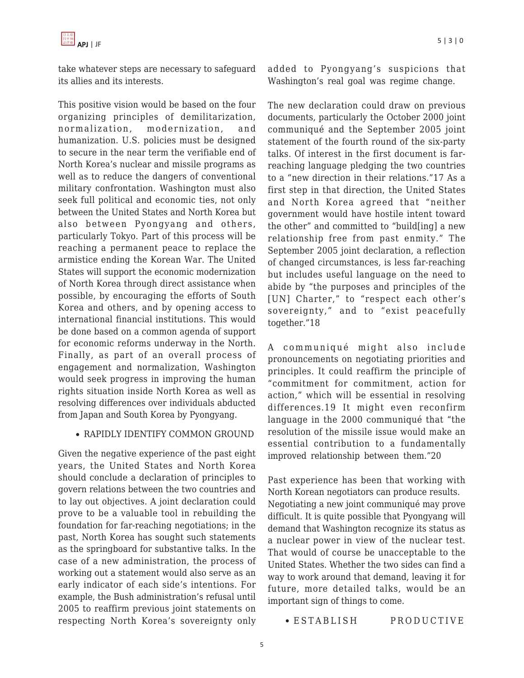take whatever steps are necessary to safeguard its allies and its interests.

This positive vision would be based on the four organizing principles of demilitarization, normalization, modernization, and humanization. U.S. policies must be designed to secure in the near term the verifiable end of North Korea's nuclear and missile programs as well as to reduce the dangers of conventional military confrontation. Washington must also seek full political and economic ties, not only between the United States and North Korea but also between Pyongyang and others, particularly Tokyo. Part of this process will be reaching a permanent peace to replace the armistice ending the Korean War. The United States will support the economic modernization of North Korea through direct assistance when possible, by encouraging the efforts of South Korea and others, and by opening access to international financial institutions. This would be done based on a common agenda of support for economic reforms underway in the North. Finally, as part of an overall process of engagement and normalization, Washington would seek progress in improving the human rights situation inside North Korea as well as resolving differences over individuals abducted from Japan and South Korea by Pyongyang.

#### RAPIDLY IDENTIFY COMMON GROUND

Given the negative experience of the past eight years, the United States and North Korea should conclude a declaration of principles to govern relations between the two countries and to lay out objectives. A joint declaration could prove to be a valuable tool in rebuilding the foundation for far-reaching negotiations; in the past, North Korea has sought such statements as the springboard for substantive talks. In the case of a new administration, the process of working out a statement would also serve as an early indicator of each side's intentions. For example, the Bush administration's refusal until 2005 to reaffirm previous joint statements on respecting North Korea's sovereignty only added to Pyongyang's suspicions that Washington's real goal was regime change.

The new declaration could draw on previous documents, particularly the October 2000 joint communiqué and the September 2005 joint statement of the fourth round of the six-party talks. Of interest in the first document is farreaching language pledging the two countries to a "new direction in their relations."17 As a first step in that direction, the United States and North Korea agreed that "neither government would have hostile intent toward the other" and committed to "build[ing] a new relationship free from past enmity." The September 2005 joint declaration, a reflection of changed circumstances, is less far-reaching but includes useful language on the need to abide by "the purposes and principles of the [UN] Charter," to "respect each other's sovereignty," and to "exist peacefully together."18

A communiqué might also include pronouncements on negotiating priorities and principles. It could reaffirm the principle of "commitment for commitment, action for action," which will be essential in resolving differences.19 It might even reconfirm language in the 2000 communiqué that "the resolution of the missile issue would make an essential contribution to a fundamentally improved relationship between them."20

Past experience has been that working with North Korean negotiators can produce results. Negotiating a new joint communiqué may prove difficult. It is quite possible that Pyongyang will demand that Washington recognize its status as a nuclear power in view of the nuclear test. That would of course be unacceptable to the United States. Whether the two sides can find a way to work around that demand, leaving it for future, more detailed talks, would be an important sign of things to come.

ESTABLISH PRODUCTIVE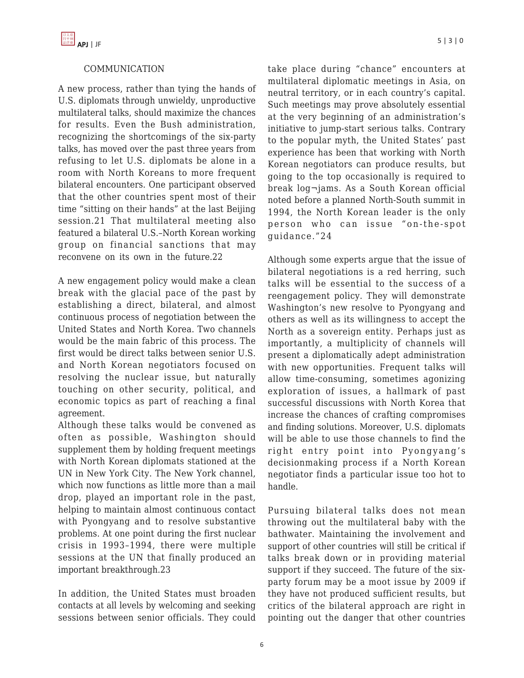## COMMUNICATION

A new process, rather than tying the hands of U.S. diplomats through unwieldy, unproductive multilateral talks, should maximize the chances for results. Even the Bush administration, recognizing the shortcomings of the six-party talks, has moved over the past three years from refusing to let U.S. diplomats be alone in a room with North Koreans to more frequent bilateral encounters. One participant observed that the other countries spent most of their time "sitting on their hands" at the last Beijing session.21 That multilateral meeting also featured a bilateral U.S.–North Korean working group on financial sanctions that may reconvene on its own in the future.22

A new engagement policy would make a clean break with the glacial pace of the past by establishing a direct, bilateral, and almost continuous process of negotiation between the United States and North Korea. Two channels would be the main fabric of this process. The first would be direct talks between senior U.S. and North Korean negotiators focused on resolving the nuclear issue, but naturally touching on other security, political, and economic topics as part of reaching a final agreement.

Although these talks would be convened as often as possible, Washington should supplement them by holding frequent meetings with North Korean diplomats stationed at the UN in New York City. The New York channel, which now functions as little more than a mail drop, played an important role in the past, helping to maintain almost continuous contact with Pyongyang and to resolve substantive problems. At one point during the first nuclear crisis in 1993–1994, there were multiple sessions at the UN that finally produced an important breakthrough.23

In addition, the United States must broaden contacts at all levels by welcoming and seeking sessions between senior officials. They could take place during "chance" encounters at multilateral diplomatic meetings in Asia, on neutral territory, or in each country's capital. Such meetings may prove absolutely essential at the very beginning of an administration's initiative to jump-start serious talks. Contrary to the popular myth, the United States' past experience has been that working with North Korean negotiators can produce results, but going to the top occasionally is required to break log¬jams. As a South Korean official noted before a planned North-South summit in 1994, the North Korean leader is the only person who can issue "on-the-spot guidance."24

Although some experts argue that the issue of bilateral negotiations is a red herring, such talks will be essential to the success of a reengagement policy. They will demonstrate Washington's new resolve to Pyongyang and others as well as its willingness to accept the North as a sovereign entity. Perhaps just as importantly, a multiplicity of channels will present a diplomatically adept administration with new opportunities. Frequent talks will allow time-consuming, sometimes agonizing exploration of issues, a hallmark of past successful discussions with North Korea that increase the chances of crafting compromises and finding solutions. Moreover, U.S. diplomats will be able to use those channels to find the right entry point into Pyongyang's decisionmaking process if a North Korean negotiator finds a particular issue too hot to handle.

Pursuing bilateral talks does not mean throwing out the multilateral baby with the bathwater. Maintaining the involvement and support of other countries will still be critical if talks break down or in providing material support if they succeed. The future of the sixparty forum may be a moot issue by 2009 if they have not produced sufficient results, but critics of the bilateral approach are right in pointing out the danger that other countries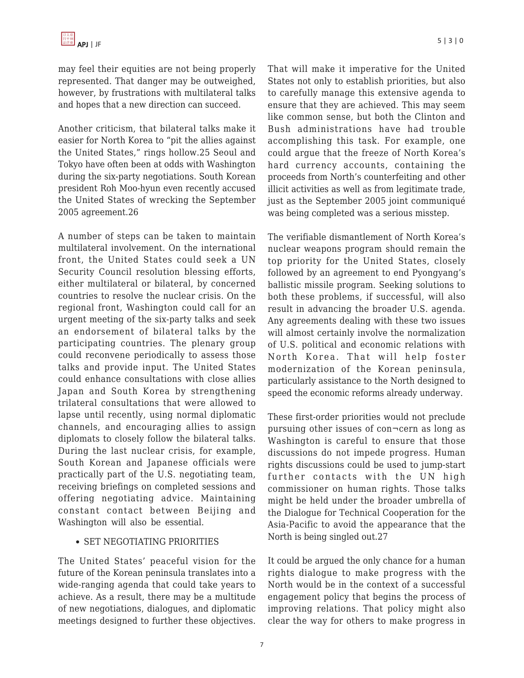may feel their equities are not being properly represented. That danger may be outweighed, however, by frustrations with multilateral talks and hopes that a new direction can succeed.

Another criticism, that bilateral talks make it easier for North Korea to "pit the allies against the United States," rings hollow.25 Seoul and Tokyo have often been at odds with Washington during the six-party negotiations. South Korean president Roh Moo-hyun even recently accused the United States of wrecking the September 2005 agreement.26

A number of steps can be taken to maintain multilateral involvement. On the international front, the United States could seek a UN Security Council resolution blessing efforts, either multilateral or bilateral, by concerned countries to resolve the nuclear crisis. On the regional front, Washington could call for an urgent meeting of the six-party talks and seek an endorsement of bilateral talks by the participating countries. The plenary group could reconvene periodically to assess those talks and provide input. The United States could enhance consultations with close allies Japan and South Korea by strengthening trilateral consultations that were allowed to lapse until recently, using normal diplomatic channels, and encouraging allies to assign diplomats to closely follow the bilateral talks. During the last nuclear crisis, for example, South Korean and Japanese officials were practically part of the U.S. negotiating team, receiving briefings on completed sessions and offering negotiating advice. Maintaining constant contact between Beijing and Washington will also be essential.

#### • SET NEGOTIATING PRIORITIES

The United States' peaceful vision for the future of the Korean peninsula translates into a wide-ranging agenda that could take years to achieve. As a result, there may be a multitude of new negotiations, dialogues, and diplomatic meetings designed to further these objectives.

That will make it imperative for the United States not only to establish priorities, but also to carefully manage this extensive agenda to ensure that they are achieved. This may seem like common sense, but both the Clinton and Bush administrations have had trouble accomplishing this task. For example, one could argue that the freeze of North Korea's hard currency accounts, containing the proceeds from North's counterfeiting and other illicit activities as well as from legitimate trade, just as the September 2005 joint communiqué was being completed was a serious misstep.

The verifiable dismantlement of North Korea's nuclear weapons program should remain the top priority for the United States, closely followed by an agreement to end Pyongyang's ballistic missile program. Seeking solutions to both these problems, if successful, will also result in advancing the broader U.S. agenda. Any agreements dealing with these two issues will almost certainly involve the normalization of U.S. political and economic relations with North Korea. That will help foster modernization of the Korean peninsula, particularly assistance to the North designed to speed the economic reforms already underway.

These first-order priorities would not preclude pursuing other issues of con¬cern as long as Washington is careful to ensure that those discussions do not impede progress. Human rights discussions could be used to jump-start further contacts with the UN high commissioner on human rights. Those talks might be held under the broader umbrella of the Dialogue for Technical Cooperation for the Asia-Pacific to avoid the appearance that the North is being singled out.27

It could be argued the only chance for a human rights dialogue to make progress with the North would be in the context of a successful engagement policy that begins the process of improving relations. That policy might also clear the way for others to make progress in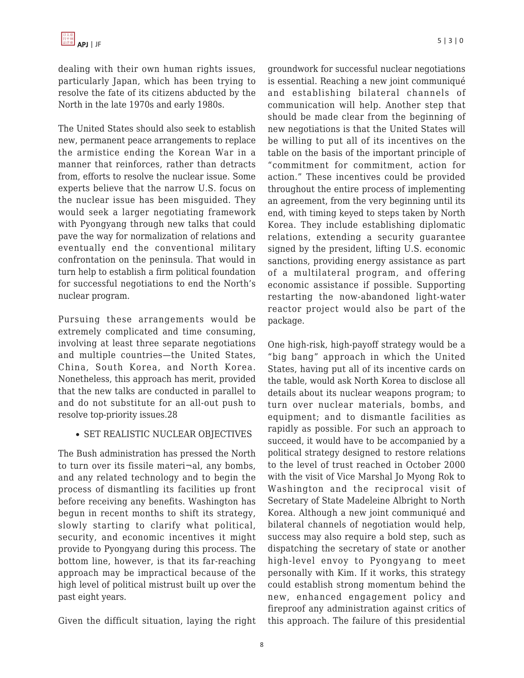dealing with their own human rights issues, particularly Japan, which has been trying to resolve the fate of its citizens abducted by the North in the late 1970s and early 1980s.

The United States should also seek to establish new, permanent peace arrangements to replace the armistice ending the Korean War in a manner that reinforces, rather than detracts from, efforts to resolve the nuclear issue. Some experts believe that the narrow U.S. focus on the nuclear issue has been misguided. They would seek a larger negotiating framework with Pyongyang through new talks that could pave the way for normalization of relations and eventually end the conventional military confrontation on the peninsula. That would in turn help to establish a firm political foundation for successful negotiations to end the North's nuclear program.

Pursuing these arrangements would be extremely complicated and time consuming, involving at least three separate negotiations and multiple countries—the United States, China, South Korea, and North Korea. Nonetheless, this approach has merit, provided that the new talks are conducted in parallel to and do not substitute for an all-out push to resolve top-priority issues.28

#### • SET REALISTIC NUCLEAR OBJECTIVES

The Bush administration has pressed the North to turn over its fissile materi¬al, any bombs, and any related technology and to begin the process of dismantling its facilities up front before receiving any benefits. Washington has begun in recent months to shift its strategy, slowly starting to clarify what political, security, and economic incentives it might provide to Pyongyang during this process. The bottom line, however, is that its far-reaching approach may be impractical because of the high level of political mistrust built up over the past eight years.

Given the difficult situation, laying the right

groundwork for successful nuclear negotiations is essential. Reaching a new joint communiqué and establishing bilateral channels of communication will help. Another step that should be made clear from the beginning of new negotiations is that the United States will be willing to put all of its incentives on the table on the basis of the important principle of "commitment for commitment, action for action." These incentives could be provided throughout the entire process of implementing an agreement, from the very beginning until its end, with timing keyed to steps taken by North Korea. They include establishing diplomatic relations, extending a security guarantee signed by the president, lifting U.S. economic sanctions, providing energy assistance as part of a multilateral program, and offering economic assistance if possible. Supporting restarting the now-abandoned light-water reactor project would also be part of the package.

One high-risk, high-payoff strategy would be a "big bang" approach in which the United States, having put all of its incentive cards on the table, would ask North Korea to disclose all details about its nuclear weapons program; to turn over nuclear materials, bombs, and equipment; and to dismantle facilities as rapidly as possible. For such an approach to succeed, it would have to be accompanied by a political strategy designed to restore relations to the level of trust reached in October 2000 with the visit of Vice Marshal Jo Myong Rok to Washington and the reciprocal visit of Secretary of State Madeleine Albright to North Korea. Although a new joint communiqué and bilateral channels of negotiation would help, success may also require a bold step, such as dispatching the secretary of state or another high-level envoy to Pyongyang to meet personally with Kim. If it works, this strategy could establish strong momentum behind the new, enhanced engagement policy and fireproof any administration against critics of this approach. The failure of this presidential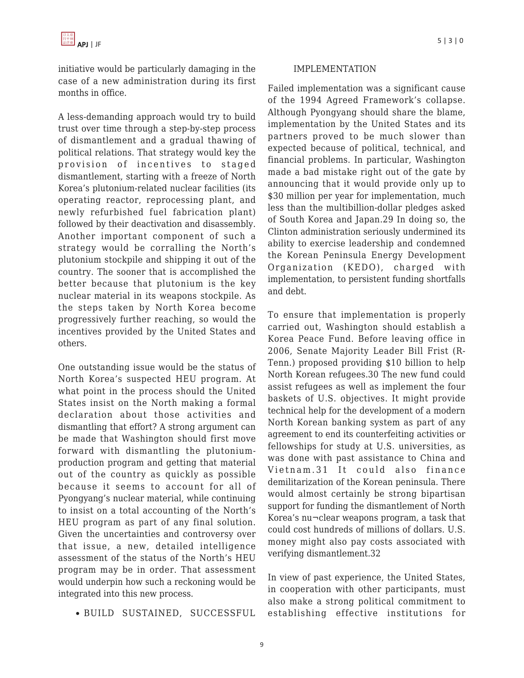initiative would be particularly damaging in the case of a new administration during its first months in office.

A less-demanding approach would try to build trust over time through a step-by-step process of dismantlement and a gradual thawing of political relations. That strategy would key the provision of incentives to staged dismantlement, starting with a freeze of North Korea's plutonium-related nuclear facilities (its operating reactor, reprocessing plant, and newly refurbished fuel fabrication plant) followed by their deactivation and disassembly. Another important component of such a strategy would be corralling the North's plutonium stockpile and shipping it out of the country. The sooner that is accomplished the better because that plutonium is the key nuclear material in its weapons stockpile. As the steps taken by North Korea become progressively further reaching, so would the incentives provided by the United States and others.

One outstanding issue would be the status of North Korea's suspected HEU program. At what point in the process should the United States insist on the North making a formal declaration about those activities and dismantling that effort? A strong argument can be made that Washington should first move forward with dismantling the plutoniumproduction program and getting that material out of the country as quickly as possible because it seems to account for all of Pyongyang's nuclear material, while continuing to insist on a total accounting of the North's HEU program as part of any final solution. Given the uncertainties and controversy over that issue, a new, detailed intelligence assessment of the status of the North's HEU program may be in order. That assessment would underpin how such a reckoning would be integrated into this new process.

BUILD SUSTAINED, SUCCESSFUL

#### IMPLEMENTATION

Failed implementation was a significant cause of the 1994 Agreed Framework's collapse. Although Pyongyang should share the blame, implementation by the United States and its partners proved to be much slower than expected because of political, technical, and financial problems. In particular, Washington made a bad mistake right out of the gate by announcing that it would provide only up to \$30 million per year for implementation, much less than the multibillion-dollar pledges asked of South Korea and Japan.29 In doing so, the Clinton administration seriously undermined its ability to exercise leadership and condemned the Korean Peninsula Energy Development Organization (KEDO), charged with implementation, to persistent funding shortfalls and debt.

To ensure that implementation is properly carried out, Washington should establish a Korea Peace Fund. Before leaving office in 2006, Senate Majority Leader Bill Frist (R-Tenn.) proposed providing \$10 billion to help North Korean refugees.30 The new fund could assist refugees as well as implement the four baskets of U.S. objectives. It might provide technical help for the development of a modern North Korean banking system as part of any agreement to end its counterfeiting activities or fellowships for study at U.S. universities, as was done with past assistance to China and Vietnam.31 It could also finance demilitarization of the Korean peninsula. There would almost certainly be strong bipartisan support for funding the dismantlement of North Korea's nu¬clear weapons program, a task that could cost hundreds of millions of dollars. U.S. money might also pay costs associated with verifying dismantlement.32

In view of past experience, the United States, in cooperation with other participants, must also make a strong political commitment to establishing effective institutions for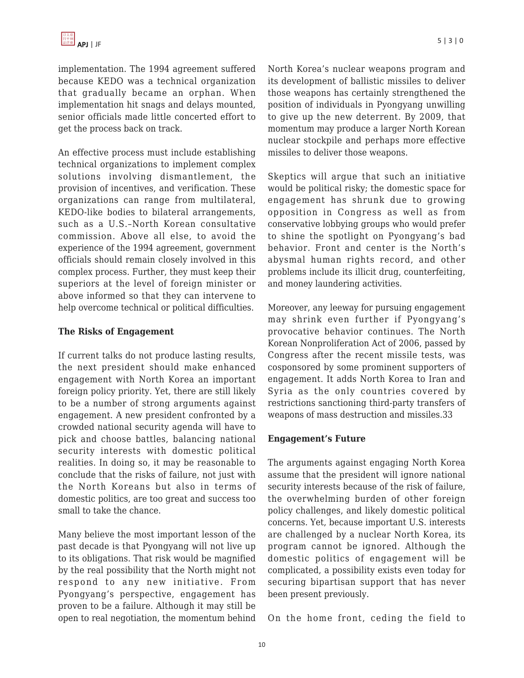implementation. The 1994 agreement suffered because KEDO was a technical organization that gradually became an orphan. When implementation hit snags and delays mounted, senior officials made little concerted effort to get the process back on track.

An effective process must include establishing technical organizations to implement complex solutions involving dismantlement, the provision of incentives, and verification. These organizations can range from multilateral, KEDO-like bodies to bilateral arrangements, such as a U.S.–North Korean consultative commission. Above all else, to avoid the experience of the 1994 agreement, government officials should remain closely involved in this complex process. Further, they must keep their superiors at the level of foreign minister or above informed so that they can intervene to help overcome technical or political difficulties.

## **The Risks of Engagement**

If current talks do not produce lasting results, the next president should make enhanced engagement with North Korea an important foreign policy priority. Yet, there are still likely to be a number of strong arguments against engagement. A new president confronted by a crowded national security agenda will have to pick and choose battles, balancing national security interests with domestic political realities. In doing so, it may be reasonable to conclude that the risks of failure, not just with the North Koreans but also in terms of domestic politics, are too great and success too small to take the chance.

Many believe the most important lesson of the past decade is that Pyongyang will not live up to its obligations. That risk would be magnified by the real possibility that the North might not respond to any new initiative. From Pyongyang's perspective, engagement has proven to be a failure. Although it may still be open to real negotiation, the momentum behind North Korea's nuclear weapons program and its development of ballistic missiles to deliver those weapons has certainly strengthened the position of individuals in Pyongyang unwilling to give up the new deterrent. By 2009, that momentum may produce a larger North Korean nuclear stockpile and perhaps more effective missiles to deliver those weapons.

Skeptics will argue that such an initiative would be political risky; the domestic space for engagement has shrunk due to growing opposition in Congress as well as from conservative lobbying groups who would prefer to shine the spotlight on Pyongyang's bad behavior. Front and center is the North's abysmal human rights record, and other problems include its illicit drug, counterfeiting, and money laundering activities.

Moreover, any leeway for pursuing engagement may shrink even further if Pyongyang's provocative behavior continues. The North Korean Nonproliferation Act of 2006, passed by Congress after the recent missile tests, was cosponsored by some prominent supporters of engagement. It adds North Korea to Iran and Syria as the only countries covered by restrictions sanctioning third-party transfers of weapons of mass destruction and missiles.33

#### **Engagement's Future**

The arguments against engaging North Korea assume that the president will ignore national security interests because of the risk of failure, the overwhelming burden of other foreign policy challenges, and likely domestic political concerns. Yet, because important U.S. interests are challenged by a nuclear North Korea, its program cannot be ignored. Although the domestic politics of engagement will be complicated, a possibility exists even today for securing bipartisan support that has never been present previously.

On the home front, ceding the field to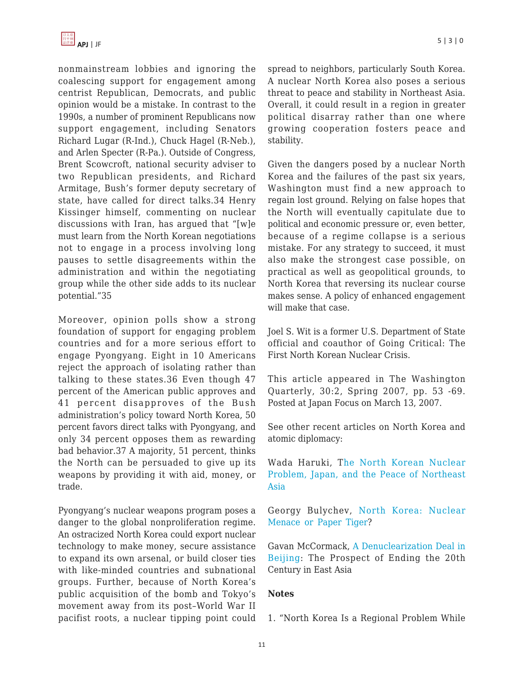nonmainstream lobbies and ignoring the coalescing support for engagement among centrist Republican, Democrats, and public opinion would be a mistake. In contrast to the 1990s, a number of prominent Republicans now support engagement, including Senators Richard Lugar (R-Ind.), Chuck Hagel (R-Neb.), and Arlen Specter (R-Pa.). Outside of Congress, Brent Scowcroft, national security adviser to two Republican presidents, and Richard Armitage, Bush's former deputy secretary of state, have called for direct talks.34 Henry Kissinger himself, commenting on nuclear discussions with Iran, has argued that "[w]e must learn from the North Korean negotiations not to engage in a process involving long pauses to settle disagreements within the administration and within the negotiating group while the other side adds to its nuclear potential."35

Moreover, opinion polls show a strong foundation of support for engaging problem countries and for a more serious effort to engage Pyongyang. Eight in 10 Americans reject the approach of isolating rather than talking to these states.36 Even though 47 percent of the American public approves and 41 percent disapproves of the Bush administration's policy toward North Korea, 50 percent favors direct talks with Pyongyang, and only 34 percent opposes them as rewarding bad behavior.37 A majority, 51 percent, thinks the North can be persuaded to give up its weapons by providing it with aid, money, or trade.

Pyongyang's nuclear weapons program poses a danger to the global nonproliferation regime. An ostracized North Korea could export nuclear technology to make money, secure assistance to expand its own arsenal, or build closer ties with like-minded countries and subnational groups. Further, because of North Korea's public acquisition of the bomb and Tokyo's movement away from its post–World War II pacifist roots, a nuclear tipping point could spread to neighbors, particularly South Korea. A nuclear North Korea also poses a serious threat to peace and stability in Northeast Asia. Overall, it could result in a region in greater political disarray rather than one where growing cooperation fosters peace and stability.

Given the dangers posed by a nuclear North Korea and the failures of the past six years, Washington must find a new approach to regain lost ground. Relying on false hopes that the North will eventually capitulate due to political and economic pressure or, even better, because of a regime collapse is a serious mistake. For any strategy to succeed, it must also make the strongest case possible, on practical as well as geopolitical grounds, to North Korea that reversing its nuclear course makes sense. A policy of enhanced engagement will make that case.

Joel S. Wit is a former U.S. Department of State official and coauthor of Going Critical: The First North Korean Nuclear Crisis.

This article appeared in The Washington Quarterly, 30:2, Spring 2007, pp. 53 -69. Posted at Japan Focus on March 13, 2007.

See other recent articles on North Korea and atomic diplomacy:

Wada Haruki, T[he North Korean Nuclear](http://japanfocus.org/products/details/2376) [Problem, Japan, and the Peace of Northeast](http://japanfocus.org/products/details/2376) [Asia](http://japanfocus.org/products/details/2376)

Georgy Bulychev, [North Korea: Nuclear](http://japanfocus.org/products/details/2356) [Menace or Paper Tiger?](http://japanfocus.org/products/details/2356)

Gavan McCormack, [A Denuclearization Deal in](http://japanfocus.org/products/details/2354) [Beijing](http://japanfocus.org/products/details/2354): The Prospect of Ending the 20th Century in East Asia

#### **Notes**

1. "North Korea Is a Regional Problem While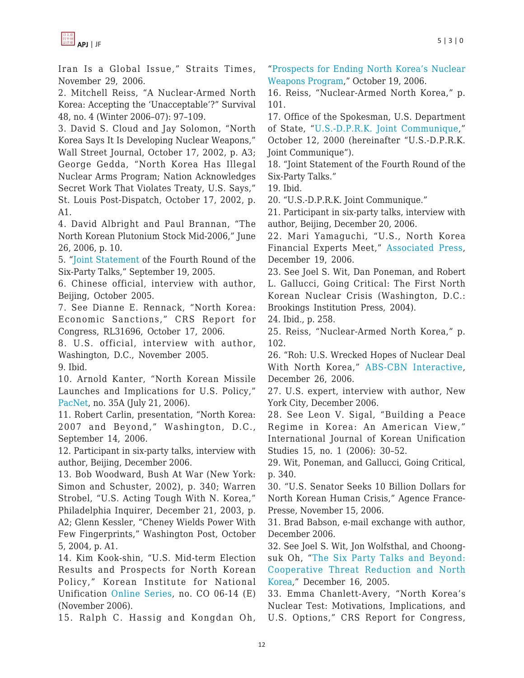

Iran Is a Global Issue," Straits Times, November 29, 2006.

2. Mitchell Reiss, "A Nuclear-Armed North Korea: Accepting the 'Unacceptable'?" Survival 48, no. 4 (Winter 2006–07): 97–109.

3. David S. Cloud and Jay Solomon, "North Korea Says It Is Developing Nuclear Weapons," Wall Street Journal, October 17, 2002, p. A3; George Gedda, "North Korea Has Illegal Nuclear Arms Program; Nation Acknowledges Secret Work That Violates Treaty, U.S. Says," St. Louis Post-Dispatch, October 17, 2002, p. A1.

4. David Albright and Paul Brannan, "The North Korean Plutonium Stock Mid-2006," June 26, 2006, p. 10.

5. "[Joint Statement](http://www.state.gov/r/pa/prs/ps/2005/53490.htm) of the Fourth Round of the Six-Party Talks," September 19, 2005.

6. Chinese official, interview with author, Beijing, October 2005.

7. See Dianne E. Rennack, "North Korea: Economic Sanctions," CRS Report for Congress, RL31696, October 17, 2006.

8. U.S. official, interview with author, Washington, D.C., November 2005. 9. Ibid.

10. Arnold Kanter, "North Korean Missile Launches and Implications for U.S. Policy," [PacNet,](http://www.csis.org/media/csis/pubs/pac0635a.pdf) no. 35A (July 21, 2006).

11. Robert Carlin, presentation, "North Korea: 2007 and Beyond," Washington, D.C., September 14, 2006.

12. Participant in six-party talks, interview with author, Beijing, December 2006.

13. Bob Woodward, Bush At War (New York: Simon and Schuster, 2002), p. 340; Warren Strobel, "U.S. Acting Tough With N. Korea," Philadelphia Inquirer, December 21, 2003, p. A2; Glenn Kessler, "Cheney Wields Power With Few Fingerprints," Washington Post, October 5, 2004, p. A1.

14. Kim Kook-shin, "U.S. Mid-term Election Results and Prospects for North Korean Policy," Korean Institute for National Unification [Online Series](http://www.kinu.or.kr/eng/kinu/module/common/download.asp?file_dir=/eng/KINU/doc/kinu_data_01/&file_name=CO%2006-14[E][1].pdf), no. CO 06-14 (E) (November 2006).

15. Ralph C. Hassig and Kongdan Oh,

"[Prospects for Ending North Korea's Nuclear](http://www.fpri.org/enotes/20061017.asia.hassigoh.endingnorthkoreasnuclearprogram.html) [Weapons Program](http://www.fpri.org/enotes/20061017.asia.hassigoh.endingnorthkoreasnuclearprogram.html)," October 19, 2006.

16. Reiss, "Nuclear-Armed North Korea," p. 101.

17. Office of the Spokesman, U.S. Department of State, "[U.S.-D.P.R.K. Joint Communique,](http://www.armscontrol.org/Events/commique.asp)"

October 12, 2000 (hereinafter "U.S.-D.P.R.K. Joint Communique").

18. "Joint Statement of the Fourth Round of the Six-Party Talks."

19. Ibid.

20. "U.S.-D.P.R.K. Joint Communique."

21. Participant in six-party talks, interview with author, Beijing, December 20, 2006.

22. Mari Yamaguchi, "U.S., North Korea Financial Experts Meet," [Associated Press,](http://abcnews.go.com/International/wireStory?id=2736591&CMP=OTC-RSSFeeds0312) December 19, 2006.

23. See Joel S. Wit, Dan Poneman, and Robert L. Gallucci, Going Critical: The First North Korean Nuclear Crisis (Washington, D.C.: Brookings Institution Press, 2004).

24. Ibid., p. 258.

25. Reiss, "Nuclear-Armed North Korea," p. 102.

26. "Roh: U.S. Wrecked Hopes of Nuclear Deal With North Korea," [ABS-CBN Interactive,](http://www.abs-cbnnews.com/storypage.aspx?StoryId=60253) December 26, 2006.

27. U.S. expert, interview with author, New York City, December 2006.

28. See Leon V. Sigal, "Building a Peace Regime in Korea: An American View," International Journal of Korean Unification Studies 15, no. 1 (2006): 30–52.

29. Wit, Poneman, and Gallucci, Going Critical, p. 340.

30. "U.S. Senator Seeks 10 Billion Dollars for North Korean Human Crisis," Agence France-Presse, November 15, 2006.

31. Brad Babson, e-mail exchange with author, December 2006.

32. See Joel S. Wit, Jon Wolfsthal, and Choongsuk Oh, "[The Six Party Talks and Beyond:](http://www.csis.org/media/csis/pubs/051216_ctr.pdf) [Cooperative Threat Reduction and North](http://www.csis.org/media/csis/pubs/051216_ctr.pdf) [Korea,](http://www.csis.org/media/csis/pubs/051216_ctr.pdf)" December 16, 2005.

33. Emma Chanlett-Avery, "North Korea's Nuclear Test: Motivations, Implications, and U.S. Options," CRS Report for Congress,